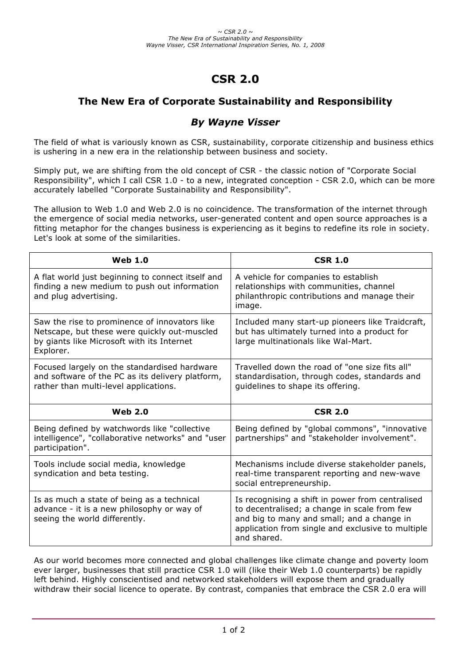# **CSR 2.0**

## **The New Era of Corporate Sustainability and Responsibility**

## *By Wayne Visser*

The field of what is variously known as CSR, sustainability, corporate citizenship and business ethics is ushering in a new era in the relationship between business and society.

Simply put, we are shifting from the old concept of CSR - the classic notion of "Corporate Social Responsibility", which I call CSR 1.0 - to a new, integrated conception - CSR 2.0, which can be more accurately labelled "Corporate Sustainability and Responsibility".

The allusion to Web 1.0 and Web 2.0 is no coincidence. The transformation of the internet through the emergence of social media networks, user-generated content and open source approaches is a fitting metaphor for the changes business is experiencing as it begins to redefine its role in society. Let's look at some of the similarities.

| <b>Web 1.0</b>                                                                                                                                           | <b>CSR 1.0</b>                                                                                                                                                                                                     |
|----------------------------------------------------------------------------------------------------------------------------------------------------------|--------------------------------------------------------------------------------------------------------------------------------------------------------------------------------------------------------------------|
| A flat world just beginning to connect itself and<br>finding a new medium to push out information<br>and plug advertising.                               | A vehicle for companies to establish<br>relationships with communities, channel<br>philanthropic contributions and manage their<br>image.                                                                          |
| Saw the rise to prominence of innovators like<br>Netscape, but these were quickly out-muscled<br>by giants like Microsoft with its Internet<br>Explorer. | Included many start-up pioneers like Traidcraft,<br>but has ultimately turned into a product for<br>large multinationals like Wal-Mart.                                                                            |
| Focused largely on the standardised hardware<br>and software of the PC as its delivery platform,<br>rather than multi-level applications.                | Travelled down the road of "one size fits all"<br>standardisation, through codes, standards and<br>guidelines to shape its offering.                                                                               |
| <b>Web 2.0</b>                                                                                                                                           | <b>CSR 2.0</b>                                                                                                                                                                                                     |
| Being defined by watchwords like "collective<br>intelligence", "collaborative networks" and "user<br>participation".                                     | Being defined by "global commons", "innovative<br>partnerships" and "stakeholder involvement".                                                                                                                     |
| Tools include social media, knowledge<br>syndication and beta testing.                                                                                   | Mechanisms include diverse stakeholder panels,<br>real-time transparent reporting and new-wave<br>social entrepreneurship.                                                                                         |
| Is as much a state of being as a technical<br>advance - it is a new philosophy or way of<br>seeing the world differently.                                | Is recognising a shift in power from centralised<br>to decentralised; a change in scale from few<br>and big to many and small; and a change in<br>application from single and exclusive to multiple<br>and shared. |

As our world becomes more connected and global challenges like climate change and poverty loom ever larger, businesses that still practice CSR 1.0 will (like their Web 1.0 counterparts) be rapidly left behind. Highly conscientised and networked stakeholders will expose them and gradually withdraw their social licence to operate. By contrast, companies that embrace the CSR 2.0 era will